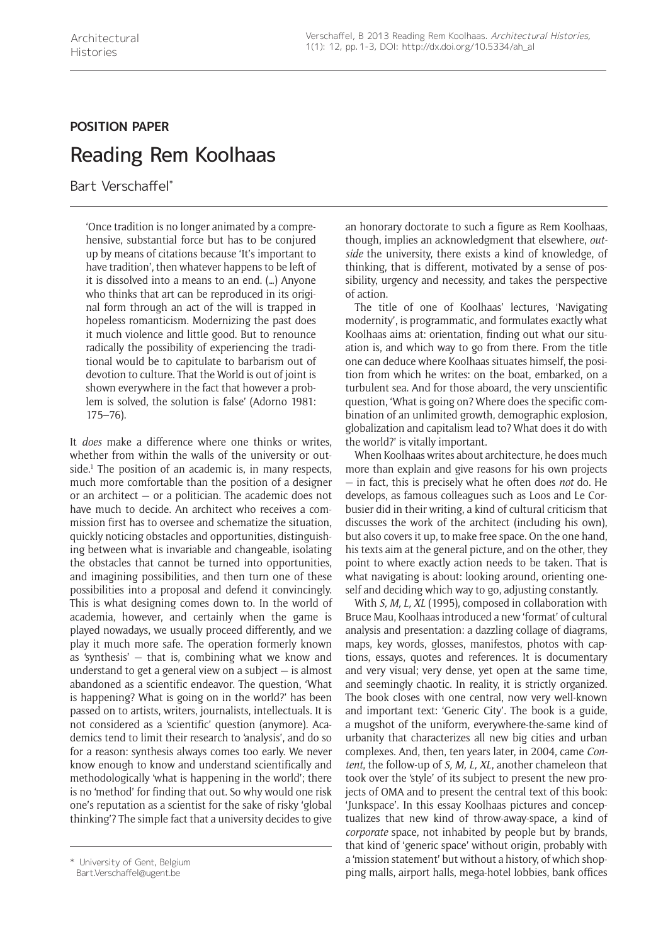## **POSITION PAPER** Reading Rem Koolhaas

Bart Verschaffel\*

'Once tradition is no longer animated by a comprehensive, substantial force but has to be conjured up by means of citations because 'It's important to have tradition', then whatever happens to be left of it is dissolved into a means to an end. (…) Anyone who thinks that art can be reproduced in its original form through an act of the will is trapped in hopeless romanticism. Modernizing the past does it much violence and little good. But to renounce radically the possibility of experiencing the traditional would be to capitulate to barbarism out of devotion to culture. That the World is out of joint is shown everywhere in the fact that however a problem is solved, the solution is false' (Adorno 1981: 175–76).

It *does* make a difference where one thinks or writes, whether from within the walls of the university or outside.<sup>1</sup> The position of an academic is, in many respects, much more comfortable than the position of a designer or an architect — or a politician. The academic does not have much to decide. An architect who receives a commission first has to oversee and schematize the situation, quickly noticing obstacles and opportunities, distinguishing between what is invariable and changeable, isolating the obstacles that cannot be turned into opportunities, and imagining possibilities, and then turn one of these possibilities into a proposal and defend it convincingly. This is what designing comes down to. In the world of academia, however, and certainly when the game is played nowadays, we usually proceed differently, and we play it much more safe. The operation formerly known as 'synthesis' — that is, combining what we know and understand to get a general view on a subject — is almost abandoned as a scientific endeavor. The question, 'What is happening? What is going on in the world?' has been passed on to artists, writers, journalists, intellectuals. It is not considered as a 'scientific' question (anymore). Academics tend to limit their research to 'analysis', and do so for a reason: synthesis always comes too early. We never know enough to know and understand scientifically and methodologically 'what is happening in the world'; there is no 'method' for finding that out. So why would one risk one's reputation as a scientist for the sake of risky 'global thinking'? The simple fact that a university decides to give an honorary doctorate to such a figure as Rem Koolhaas, though, implies an acknowledgment that elsewhere, *outside* the university, there exists a kind of knowledge, of thinking, that is different, motivated by a sense of possibility, urgency and necessity, and takes the perspective of action.

The title of one of Koolhaas' lectures, 'Navigating modernity', is programmatic, and formulates exactly what Koolhaas aims at: orientation, finding out what our situation is, and which way to go from there. From the title one can deduce where Koolhaas situates himself, the position from which he writes: on the boat, embarked, on a turbulent sea. And for those aboard, the very unscientific question, 'What is going on? Where does the specific combination of an unlimited growth, demographic explosion, globalization and capitalism lead to? What does it do with the world?' is vitally important.

When Koolhaas writes about architecture, he does much more than explain and give reasons for his own projects — in fact, this is precisely what he often does *not* do. He develops, as famous colleagues such as Loos and Le Corbusier did in their writing, a kind of cultural criticism that discusses the work of the architect (including his own), but also covers it up, to make free space. On the one hand, his texts aim at the general picture, and on the other, they point to where exactly action needs to be taken. That is what navigating is about: looking around, orienting oneself and deciding which way to go, adjusting constantly.

With *S, M, L, XL* (1995), composed in collaboration with Bruce Mau, Koolhaas introduced a new 'format' of cultural analysis and presentation: a dazzling collage of diagrams, maps, key words, glosses, manifestos, photos with captions, essays, quotes and references. It is documentary and very visual; very dense, yet open at the same time, and seemingly chaotic. In reality, it is strictly organized. The book closes with one central, now very well-known and important text: 'Generic City'. The book is a guide, a mugshot of the uniform, everywhere-the-same kind of urbanity that characterizes all new big cities and urban complexes. And, then, ten years later, in 2004, came *Content*, the follow-up of *S, M, L, XL*, another chameleon that took over the 'style' of its subject to present the new projects of OMA and to present the central text of this book: 'Junkspace'. In this essay Koolhaas pictures and conceptualizes that new kind of throw-away-space, a kind of *corporate* space, not inhabited by people but by brands, that kind of 'generic space' without origin, probably with a 'mission statement' but without a history, of which shopthis inversity of Gent, Belgium that the statement of the malls, airport halls, mega-hotel lobbies, bank offices \*<br>ping malls, airport halls, mega-hotel lobbies, bank offices \* \* \* ping malls, airport halls, mega-hotel lob

Bart.Verschaffel@ugent.be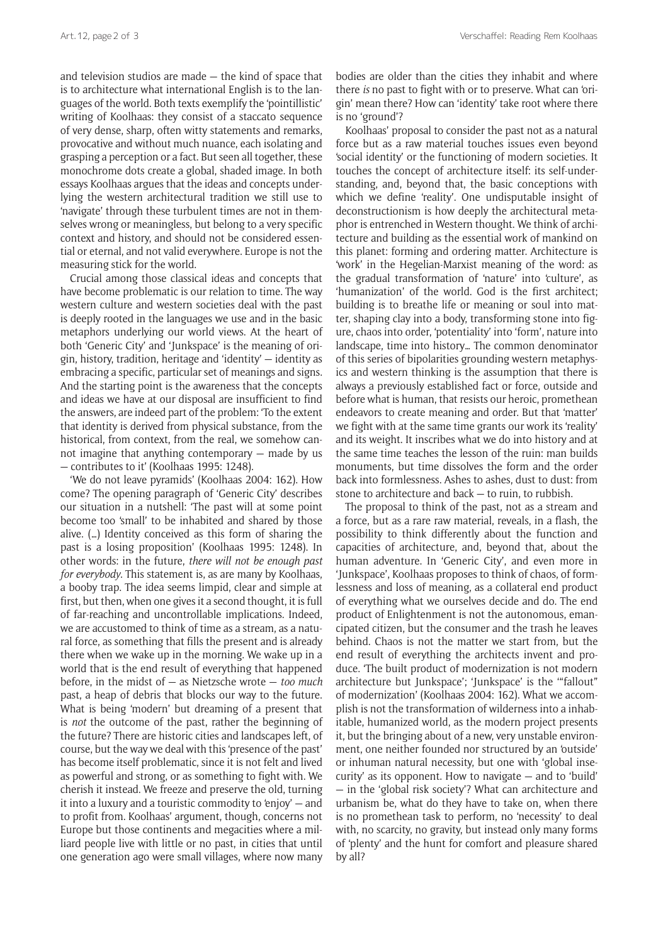and television studios are made — the kind of space that is to architecture what international English is to the languages of the world. Both texts exemplify the 'pointillistic' writing of Koolhaas: they consist of a staccato sequence of very dense, sharp, often witty statements and remarks, provocative and without much nuance, each isolating and grasping a perception or a fact. But seen all together, these monochrome dots create a global, shaded image. In both essays Koolhaas argues that the ideas and concepts underlying the western architectural tradition we still use to 'navigate' through these turbulent times are not in themselves wrong or meaningless, but belong to a very specific context and history, and should not be considered essential or eternal, and not valid everywhere. Europe is not the measuring stick for the world.

Crucial among those classical ideas and concepts that have become problematic is our relation to time. The way western culture and western societies deal with the past is deeply rooted in the languages we use and in the basic metaphors underlying our world views. At the heart of both 'Generic City' and 'Junkspace' is the meaning of origin, history, tradition, heritage and 'identity' — identity as embracing a specific, particular set of meanings and signs. And the starting point is the awareness that the concepts and ideas we have at our disposal are insufficient to find the answers, are indeed part of the problem: 'To the extent that identity is derived from physical substance, from the historical, from context, from the real, we somehow cannot imagine that anything contemporary — made by us — contributes to it' (Koolhaas 1995: 1248).

'We do not leave pyramids' (Koolhaas 2004: 162). How come? The opening paragraph of 'Generic City' describes our situation in a nutshell: 'The past will at some point become too 'small' to be inhabited and shared by those alive. (…) Identity conceived as this form of sharing the past is a losing proposition' (Koolhaas 1995: 1248). In other words: in the future, *there will not be enough past for everybody*. This statement is, as are many by Koolhaas, a booby trap. The idea seems limpid, clear and simple at first, but then, when one gives it a second thought, it is full of far-reaching and uncontrollable implications. Indeed, we are accustomed to think of time as a stream, as a natural force, as something that fills the present and is already there when we wake up in the morning. We wake up in a world that is the end result of everything that happened before, in the midst of — as Nietzsche wrote — *too much* past, a heap of debris that blocks our way to the future. What is being 'modern' but dreaming of a present that is *not* the outcome of the past, rather the beginning of the future? There are historic cities and landscapes left, of course, but the way we deal with this 'presence of the past' has become itself problematic, since it is not felt and lived as powerful and strong, or as something to fight with. We cherish it instead. We freeze and preserve the old, turning it into a luxury and a touristic commodity to 'enjoy' — and to profit from. Koolhaas' argument, though, concerns not Europe but those continents and megacities where a milliard people live with little or no past, in cities that until one generation ago were small villages, where now many

bodies are older than the cities they inhabit and where there *is* no past to fight with or to preserve. What can 'origin' mean there? How can 'identity' take root where there is no 'ground'?

Koolhaas' proposal to consider the past not as a natural force but as a raw material touches issues even beyond 'social identity' or the functioning of modern societies. It touches the concept of architecture itself: its self-understanding, and, beyond that, the basic conceptions with which we define 'reality'. One undisputable insight of deconstructionism is how deeply the architectural metaphor is entrenched in Western thought. We think of architecture and building as the essential work of mankind on this planet: forming and ordering matter. Architecture is 'work' in the Hegelian-Marxist meaning of the word: as the gradual transformation of 'nature' into 'culture', as 'humanization' of the world. God is the first architect; building is to breathe life or meaning or soul into matter, shaping clay into a body, transforming stone into figure, chaos into order, 'potentiality' into 'form', nature into landscape, time into history… The common denominator of this series of bipolarities grounding western metaphysics and western thinking is the assumption that there is always a previously established fact or force, outside and before what is human, that resists our heroic, promethean endeavors to create meaning and order. But that 'matter' we fight with at the same time grants our work its 'reality' and its weight. It inscribes what we do into history and at the same time teaches the lesson of the ruin: man builds monuments, but time dissolves the form and the order back into formlessness. Ashes to ashes, dust to dust: from stone to architecture and back — to ruin, to rubbish.

The proposal to think of the past, not as a stream and a force, but as a rare raw material, reveals, in a flash, the possibility to think differently about the function and capacities of architecture, and, beyond that, about the human adventure. In 'Generic City', and even more in 'Junkspace', Koolhaas proposes to think of chaos, of formlessness and loss of meaning, as a collateral end product of everything what we ourselves decide and do. The end product of Enlightenment is not the autonomous, emancipated citizen, but the consumer and the trash he leaves behind. Chaos is not the matter we start from, but the end result of everything the architects invent and produce. 'The built product of modernization is not modern architecture but Junkspace'; 'Junkspace' is the '"fallout" of modernization' (Koolhaas 2004: 162). What we accomplish is not the transformation of wilderness into a inhabitable, humanized world, as the modern project presents it, but the bringing about of a new, very unstable environment, one neither founded nor structured by an 'outside' or inhuman natural necessity, but one with 'global insecurity' as its opponent. How to navigate — and to 'build' — in the 'global risk society'? What can architecture and urbanism be, what do they have to take on, when there is no promethean task to perform, no 'necessity' to deal with, no scarcity, no gravity, but instead only many forms of 'plenty' and the hunt for comfort and pleasure shared by all?